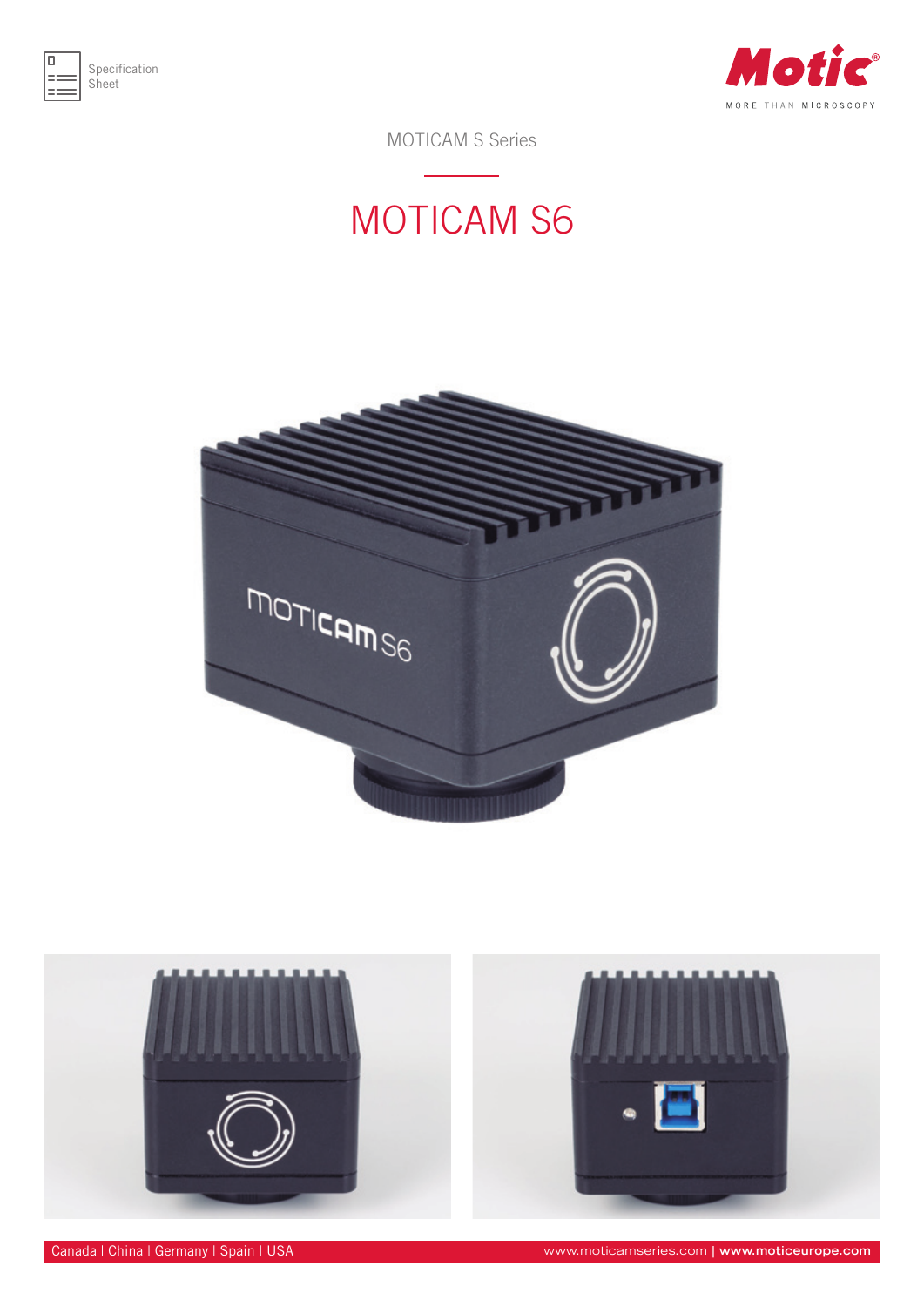



MOTICAM S Series

## MOTICAM S6